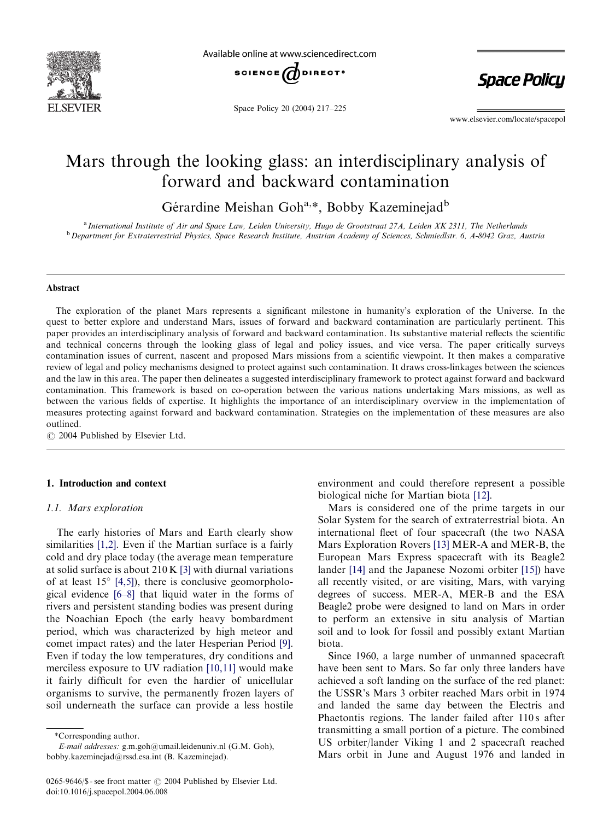

Available online at www.sciencedirect.com



Space Policy 20 (2004) 217–225

**Space Policy** 

www.elsevier.com/locate/spacepol

# Mars through the looking glass: an interdisciplinary analysis of forward and backward contamination

Gérardine Meishan Goh<sup>a,\*</sup>, Bobby Kazeminejad<sup>b</sup>

<sup>a</sup> International Institute of Air and Space Law, Leiden University, Hugo de Grootstraat 27A, Leiden XK 2311, The Netherlands <sup>b</sup> Department for Extraterrestrial Physics, Space Research Institute, Austrian Academy of Sciences, Schmiedlstr. 6, A-8042 Graz, Austria

### Abstract

The exploration of the planet Mars represents a significant milestone in humanity's exploration of the Universe. In the quest to better explore and understand Mars, issues of forward and backward contamination are particularly pertinent. This paper provides an interdisciplinary analysis of forward and backward contamination. Its substantive material reflects the scientific and technical concerns through the looking glass of legal and policy issues, and vice versa. The paper critically surveys contamination issues of current, nascent and proposed Mars missions from a scientific viewpoint. It then makes a comparative review of legal and policy mechanisms designed to protect against such contamination. It draws cross-linkages between the sciences and the law in this area. The paper then delineates a suggested interdisciplinary framework to protect against forward and backward contamination. This framework is based on co-operation between the various nations undertaking Mars missions, as well as between the various fields of expertise. It highlights the importance of an interdisciplinary overview in the implementation of measures protecting against forward and backward contamination. Strategies on the implementation of these measures are also outlined.

 $\odot$  2004 Published by Elsevier Ltd.

# 1. Introduction and context

### 1.1. Mars exploration

The early histories of Mars and Earth clearly show similarities [\[1,2\]](#page-6-0). Even if the Martian surface is a fairly cold and dry place today (the average mean temperature at solid surface is about 210 K [\[3\]](#page-7-0) with diurnal variations of at least  $15^{\circ}$  [\[4,5\]\)](#page-7-0), there is conclusive geomorphological evidence [\[6–8\]](#page-7-0) that liquid water in the forms of rivers and persistent standing bodies was present during the Noachian Epoch (the early heavy bombardment period, which was characterized by high meteor and comet impact rates) and the later Hesperian Period [\[9\]](#page-7-0). Even if today the low temperatures, dry conditions and merciless exposure to UV radiation [\[10,11\]](#page-7-0) would make it fairly difficult for even the hardier of unicellular organisms to survive, the permanently frozen layers of soil underneath the surface can provide a less hostile

E-mail addresses: g.m.goh@umail.leidenuniv.nl (G.M. Goh), bobby.kazeminejad@rssd.esa.int (B. Kazeminejad).

environment and could therefore represent a possible biological niche for Martian biota [\[12\].](#page-7-0)

Mars is considered one of the prime targets in our Solar System for the search of extraterrestrial biota. An international fleet of four spacecraft (the two NASA Mars Exploration Rovers [\[13\]](#page-7-0) MER-A and MER-B, the European Mars Express spacecraft with its Beagle2 lander [\[14\]](#page-7-0) and the Japanese Nozomi orbiter [\[15\]](#page-7-0)) have all recently visited, or are visiting, Mars, with varying degrees of success. MER-A, MER-B and the ESA Beagle2 probe were designed to land on Mars in order to perform an extensive in situ analysis of Martian soil and to look for fossil and possibly extant Martian biota.

Since 1960, a large number of unmanned spacecraft have been sent to Mars. So far only three landers have achieved a soft landing on the surface of the red planet: the USSR's Mars 3 orbiter reached Mars orbit in 1974 and landed the same day between the Electris and Phaetontis regions. The lander failed after 110s after transmitting a small portion of a picture. The combined US orbiter/lander Viking 1 and 2 spacecraft reached Mars orbit in June and August 1976 and landed in

<sup>\*</sup>Corresponding author.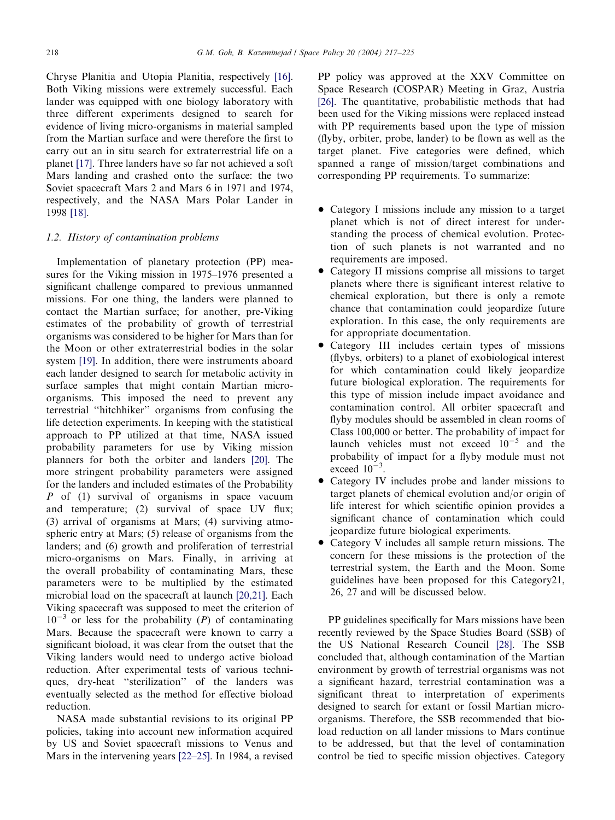Chryse Planitia and Utopia Planitia, respectively [\[16\]](#page-7-0). Both Viking missions were extremely successful. Each lander was equipped with one biology laboratory with three different experiments designed to search for evidence of living micro-organisms in material sampled from the Martian surface and were therefore the first to carry out an in situ search for extraterrestrial life on a planet [\[17\]](#page-7-0). Three landers have so far not achieved a soft Mars landing and crashed onto the surface: the two Soviet spacecraft Mars 2 and Mars 6 in 1971 and 1974, respectively, and the NASA Mars Polar Lander in 1998 [\[18\].](#page-7-0)

### 1.2. History of contamination problems

Implementation of planetary protection (PP) measures for the Viking mission in 1975–1976 presented a significant challenge compared to previous unmanned missions. For one thing, the landers were planned to contact the Martian surface; for another, pre-Viking estimates of the probability of growth of terrestrial organisms was considered to be higher for Mars than for the Moon or other extraterrestrial bodies in the solar system [\[19\]](#page-7-0). In addition, there were instruments aboard each lander designed to search for metabolic activity in surface samples that might contain Martian microorganisms. This imposed the need to prevent any terrestrial ''hitchhiker'' organisms from confusing the life detection experiments. In keeping with the statistical approach to PP utilized at that time, NASA issued probability parameters for use by Viking mission planners for both the orbiter and landers [\[20\].](#page-7-0) The more stringent probability parameters were assigned for the landers and included estimates of the Probability P of (1) survival of organisms in space vacuum and temperature; (2) survival of space UV flux; (3) arrival of organisms at Mars; (4) surviving atmospheric entry at Mars; (5) release of organisms from the landers; and (6) growth and proliferation of terrestrial micro-organisms on Mars. Finally, in arriving at the overall probability of contaminating Mars, these parameters were to be multiplied by the estimated microbial load on the spacecraft at launch [\[20,21\].](#page-7-0) Each Viking spacecraft was supposed to meet the criterion of  $10^{-3}$  or less for the probability (P) of contaminating Mars. Because the spacecraft were known to carry a significant bioload, it was clear from the outset that the Viking landers would need to undergo active bioload reduction. After experimental tests of various techniques, dry-heat ''sterilization'' of the landers was eventually selected as the method for effective bioload reduction.

NASA made substantial revisions to its original PP policies, taking into account newinformation acquired by US and Soviet spacecraft missions to Venus and Mars in the intervening years [\[22–25\]](#page-7-0). In 1984, a revised

PP policy was approved at the XXV Committee on Space Research (COSPAR) Meeting in Graz, Austria [\[26\]](#page-7-0). The quantitative, probabilistic methods that had been used for the Viking missions were replaced instead with PP requirements based upon the type of mission (flyby, orbiter, probe, lander) to be flown as well as the target planet. Five categories were defined, which spanned a range of mission/target combinations and corresponding PP requirements. To summarize:

- Category I missions include any mission to a target planet which is not of direct interest for understanding the process of chemical evolution. Protection of such planets is not warranted and no requirements are imposed.
- Category II missions comprise all missions to target planets where there is significant interest relative to chemical exploration, but there is only a remote chance that contamination could jeopardize future exploration. In this case, the only requirements are for appropriate documentation.
- Category III includes certain types of missions (flybys, orbiters) to a planet of exobiological interest for which contamination could likely jeopardize future biological exploration. The requirements for this type of mission include impact avoidance and contamination control. All orbiter spacecraft and flyby modules should be assembled in clean rooms of Class 100,000 or better. The probability of impact for launch vehicles must not exceed  $10^{-5}$  and the probability of impact for a flyby module must not exceed  $10^{-3}$ .
- Category IV includes probe and lander missions to target planets of chemical evolution and/or origin of life interest for which scientific opinion provides a significant chance of contamination which could jeopardize future biological experiments.
- Category V includes all sample return missions. The concern for these missions is the protection of the terrestrial system, the Earth and the Moon. Some guidelines have been proposed for this Category21, 26, 27 and will be discussed below.

PP guidelines specifically for Mars missions have been recently reviewed by the Space Studies Board (SSB) of the US National Research Council [\[28\].](#page-7-0) The SSB concluded that, although contamination of the Martian environment by growth of terrestrial organisms was not a significant hazard, terrestrial contamination was a significant threat to interpretation of experiments designed to search for extant or fossil Martian microorganisms. Therefore, the SSB recommended that bioload reduction on all lander missions to Mars continue to be addressed, but that the level of contamination control be tied to specific mission objectives. Category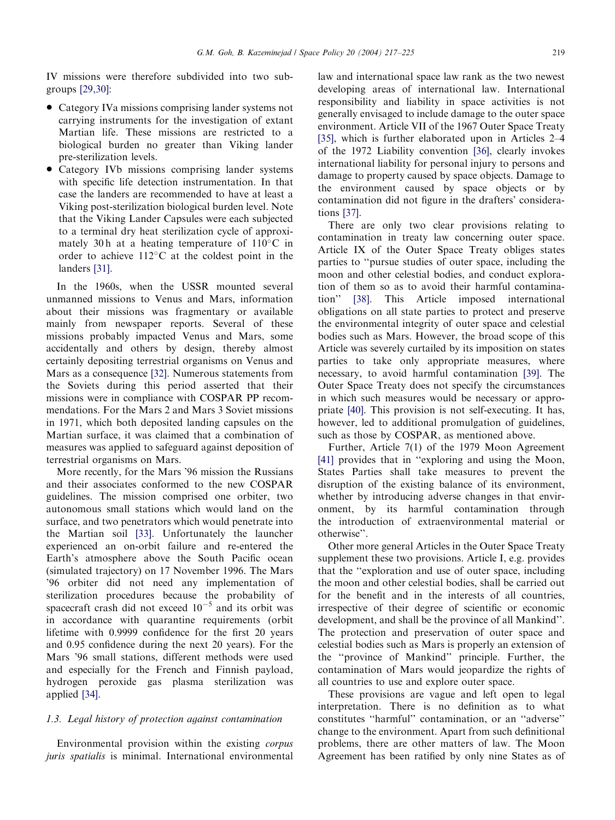IV missions were therefore subdivided into two subgroups [\[29,30\]](#page-7-0):

- Category IVa missions comprising lander systems not carrying instruments for the investigation of extant Martian life. These missions are restricted to a biological burden no greater than Viking lander pre-sterilization levels.
- \* Category IVb missions comprising lander systems with specific life detection instrumentation. In that case the landers are recommended to have at least a Viking post-sterilization biological burden level. Note that the Viking Lander Capsules were each subjected to a terminal dry heat sterilization cycle of approximately 30 h at a heating temperature of  $110^{\circ}$ C in order to achieve  $112^{\circ}$ C at the coldest point in the landers [\[31\]](#page-7-0).

In the 1960s, when the USSR mounted several unmanned missions to Venus and Mars, information about their missions was fragmentary or available mainly from newspaper reports. Several of these missions probably impacted Venus and Mars, some accidentally and others by design, thereby almost certainly depositing terrestrial organisms on Venus and Mars as a consequence [\[32\]](#page-7-0). Numerous statements from the Soviets during this period asserted that their missions were in compliance with COSPAR PP recommendations. For the Mars 2 and Mars 3 Soviet missions in 1971, which both deposited landing capsules on the Martian surface, it was claimed that a combination of measures was applied to safeguard against deposition of terrestrial organisms on Mars.

More recently, for the Mars '96 mission the Russians and their associates conformed to the new COSPAR guidelines. The mission comprised one orbiter, two autonomous small stations which would land on the surface, and two penetrators which would penetrate into the Martian soil [\[33\].](#page-7-0) Unfortunately the launcher experienced an on-orbit failure and re-entered the Earth's atmosphere above the South Pacific ocean (simulated trajectory) on 17 November 1996. The Mars '96 orbiter did not need any implementation of sterilization procedures because the probability of spacecraft crash did not exceed  $10^{-5}$  and its orbit was in accordance with quarantine requirements (orbit lifetime with 0.9999 confidence for the first 20 years and 0.95 confidence during the next 20 years). For the Mars '96 small stations, different methods were used and especially for the French and Finnish payload, hydrogen peroxide gas plasma sterilization was applied [\[34\].](#page-7-0)

# 1.3. Legal history of protection against contamination

Environmental provision within the existing corpus juris spatialis is minimal. International environmental lawand international space lawrank as the two newest developing areas of international law. International responsibility and liability in space activities is not generally envisaged to include damage to the outer space environment. Article VII of the 1967 Outer Space Treaty [\[35\]](#page-7-0), which is further elaborated upon in Articles 2–4 of the 1972 Liability convention [\[36\],](#page-7-0) clearly invokes international liability for personal injury to persons and damage to property caused by space objects. Damage to the environment caused by space objects or by contamination did not figure in the drafters' considerations [\[37\]](#page-7-0).

There are only two clear provisions relating to contamination in treaty law concerning outer space. Article IX of the Outer Space Treaty obliges states parties to ''pursue studies of outer space, including the moon and other celestial bodies, and conduct exploration of them so as to avoid their harmful contamination'' [\[38\].](#page-7-0) This Article imposed international obligations on all state parties to protect and preserve the environmental integrity of outer space and celestial bodies such as Mars. However, the broad scope of this Article was severely curtailed by its imposition on states parties to take only appropriate measures, where necessary, to avoid harmful contamination [\[39\]](#page-7-0). The Outer Space Treaty does not specify the circumstances in which such measures would be necessary or appropriate [\[40\].](#page-7-0) This provision is not self-executing. It has, however, led to additional promulgation of guidelines, such as those by COSPAR, as mentioned above.

Further, Article 7(1) of the 1979 Moon Agreement [\[41\]](#page-7-0) provides that in "exploring and using the Moon, States Parties shall take measures to prevent the disruption of the existing balance of its environment, whether by introducing adverse changes in that environment, by its harmful contamination through the introduction of extraenvironmental material or otherwise''.

Other more general Articles in the Outer Space Treaty supplement these two provisions. Article I, e.g. provides that the ''exploration and use of outer space, including the moon and other celestial bodies, shall be carried out for the benefit and in the interests of all countries, irrespective of their degree of scientific or economic development, and shall be the province of all Mankind''. The protection and preservation of outer space and celestial bodies such as Mars is properly an extension of the ''province of Mankind'' principle. Further, the contamination of Mars would jeopardize the rights of all countries to use and explore outer space.

These provisions are vague and left open to legal interpretation. There is no definition as to what constitutes ''harmful'' contamination, or an ''adverse'' change to the environment. Apart from such definitional problems, there are other matters of law. The Moon Agreement has been ratified by only nine States as of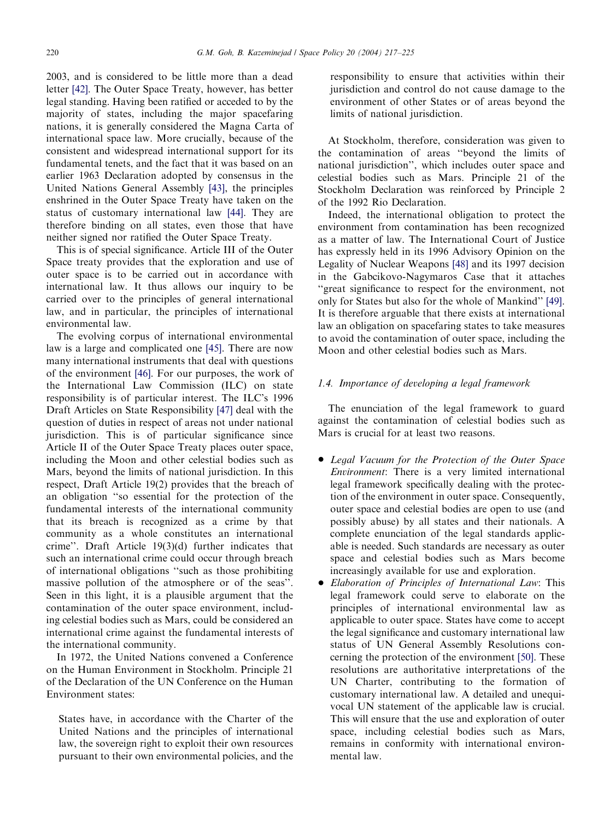2003, and is considered to be little more than a dead letter [\[42\]](#page-7-0). The Outer Space Treaty, however, has better legal standing. Having been ratified or acceded to by the majority of states, including the major spacefaring nations, it is generally considered the Magna Carta of international space law. More crucially, because of the consistent and widespread international support for its fundamental tenets, and the fact that it was based on an earlier 1963 Declaration adopted by consensus in the United Nations General Assembly [\[43\],](#page-7-0) the principles enshrined in the Outer Space Treaty have taken on the status of customary international law [\[44\].](#page-7-0) They are therefore binding on all states, even those that have neither signed nor ratified the Outer Space Treaty.

This is of special significance. Article III of the Outer Space treaty provides that the exploration and use of outer space is to be carried out in accordance with international law. It thus allows our inquiry to be carried over to the principles of general international law, and in particular, the principles of international environmental law.

The evolving corpus of international environmental law is a large and complicated one [\[45\].](#page-7-0) There are now many international instruments that deal with questions of the environment [\[46\].](#page-7-0) For our purposes, the work of the International LawCommission (ILC) on state responsibility is of particular interest. The ILC's 1996 Draft Articles on State Responsibility [\[47\]](#page-7-0) deal with the question of duties in respect of areas not under national jurisdiction. This is of particular significance since Article II of the Outer Space Treaty places outer space, including the Moon and other celestial bodies such as Mars, beyond the limits of national jurisdiction. In this respect, Draft Article 19(2) provides that the breach of an obligation ''so essential for the protection of the fundamental interests of the international community that its breach is recognized as a crime by that community as a whole constitutes an international crime''. Draft Article 19(3)(d) further indicates that such an international crime could occur through breach of international obligations ''such as those prohibiting massive pollution of the atmosphere or of the seas''. Seen in this light, it is a plausible argument that the contamination of the outer space environment, including celestial bodies such as Mars, could be considered an international crime against the fundamental interests of the international community.

In 1972, the United Nations convened a Conference on the Human Environment in Stockholm. Principle 21 of the Declaration of the UN Conference on the Human Environment states:

States have, in accordance with the Charter of the United Nations and the principles of international law, the sovereign right to exploit their own resources pursuant to their own environmental policies, and the

responsibility to ensure that activities within their jurisdiction and control do not cause damage to the environment of other States or of areas beyond the limits of national jurisdiction.

At Stockholm, therefore, consideration was given to the contamination of areas ''beyond the limits of national jurisdiction'', which includes outer space and celestial bodies such as Mars. Principle 21 of the Stockholm Declaration was reinforced by Principle 2 of the 1992 Rio Declaration.

Indeed, the international obligation to protect the environment from contamination has been recognized as a matter of law. The International Court of Justice has expressly held in its 1996 Advisory Opinion on the Legality of Nuclear Weapons [\[48\]](#page-8-0) and its 1997 decision in the Gabcikovo-Nagymaros Case that it attaches ''great significance to respect for the environment, not only for States but also for the whole of Mankind'' [\[49\]](#page-8-0). It is therefore arguable that there exists at international lawan obligation on spacefaring states to take measures to avoid the contamination of outer space, including the Moon and other celestial bodies such as Mars.

# 1.4. Importance of developing a legal framework

The enunciation of the legal framework to guard against the contamination of celestial bodies such as Mars is crucial for at least two reasons.

- Legal Vacuum for the Protection of the Outer Space Environment: There is a very limited international legal framework specifically dealing with the protection of the environment in outer space. Consequently, outer space and celestial bodies are open to use (and possibly abuse) by all states and their nationals. A complete enunciation of the legal standards applicable is needed. Such standards are necessary as outer space and celestial bodies such as Mars become increasingly available for use and exploration.
- Elaboration of Principles of International Law: This legal framework could serve to elaborate on the principles of international environmental lawas applicable to outer space. States have come to accept the legal significance and customary international law status of UN General Assembly Resolutions concerning the protection of the environment [\[50\].](#page-8-0) These resolutions are authoritative interpretations of the UN Charter, contributing to the formation of customary international law. A detailed and unequivocal UN statement of the applicable lawis crucial. This will ensure that the use and exploration of outer space, including celestial bodies such as Mars, remains in conformity with international environmental law.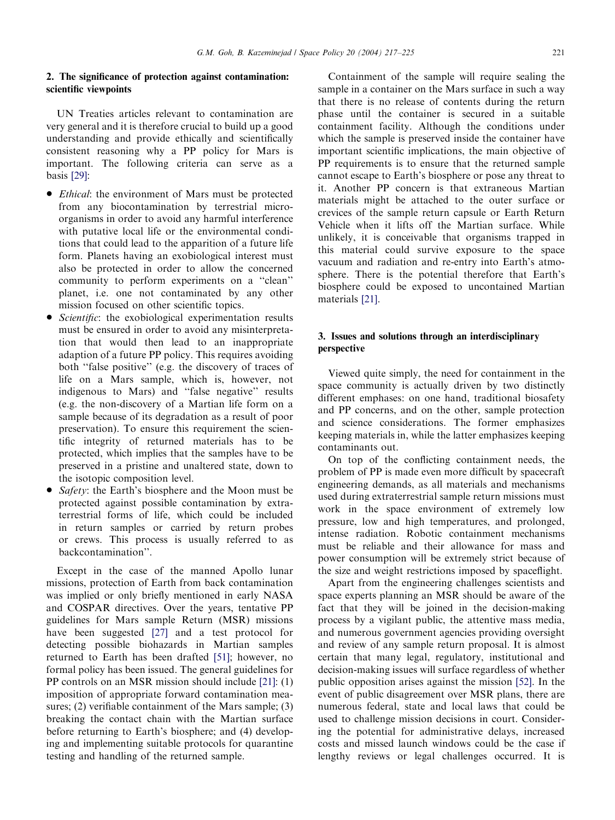# 2. The significance of protection against contamination: scientific viewpoints

UN Treaties articles relevant to contamination are very general and it is therefore crucial to build up a good understanding and provide ethically and scientifically consistent reasoning why a PP policy for Mars is important. The following criteria can serve as a basis [\[29\]](#page-7-0):

- *Ethical*: the environment of Mars must be protected from any biocontamination by terrestrial microorganisms in order to avoid any harmful interference with putative local life or the environmental conditions that could lead to the apparition of a future life form. Planets having an exobiological interest must also be protected in order to allow the concerned community to perform experiments on a ''clean'' planet, i.e. one not contaminated by any other mission focused on other scientific topics.
- Scientific: the exobiological experimentation results must be ensured in order to avoid any misinterpretation that would then lead to an inappropriate adaption of a future PP policy. This requires avoiding both ''false positive'' (e.g. the discovery of traces of life on a Mars sample, which is, however, not indigenous to Mars) and ''false negative'' results (e.g. the non-discovery of a Martian life form on a sample because of its degradation as a result of poor preservation). To ensure this requirement the scientific integrity of returned materials has to be protected, which implies that the samples have to be preserved in a pristine and unaltered state, down to the isotopic composition level.
- Safety: the Earth's biosphere and the Moon must be protected against possible contamination by extraterrestrial forms of life, which could be included in return samples or carried by return probes or crews. This process is usually referred to as backcontamination''.

Except in the case of the manned Apollo lunar missions, protection of Earth from back contamination was implied or only briefly mentioned in early NASA and COSPAR directives. Over the years, tentative PP guidelines for Mars sample Return (MSR) missions have been suggested [\[27\]](#page-7-0) and a test protocol for detecting possible biohazards in Martian samples returned to Earth has been drafted [\[51\]](#page-8-0); however, no formal policy has been issued. The general guidelines for PP controls on an MSR mission should include [\[21\]:](#page-7-0) (1) imposition of appropriate forward contamination measures; (2) verifiable containment of the Mars sample; (3) breaking the contact chain with the Martian surface before returning to Earth's biosphere; and (4) developing and implementing suitable protocols for quarantine testing and handling of the returned sample.

Containment of the sample will require sealing the sample in a container on the Mars surface in such a way that there is no release of contents during the return phase until the container is secured in a suitable containment facility. Although the conditions under which the sample is preserved inside the container have important scientific implications, the main objective of PP requirements is to ensure that the returned sample cannot escape to Earth's biosphere or pose any threat to it. Another PP concern is that extraneous Martian materials might be attached to the outer surface or crevices of the sample return capsule or Earth Return Vehicle when it lifts off the Martian surface. While unlikely, it is conceivable that organisms trapped in this material could survive exposure to the space vacuum and radiation and re-entry into Earth's atmosphere. There is the potential therefore that Earth's biosphere could be exposed to uncontained Martian materials [\[21\].](#page-7-0)

# 3. Issues and solutions through an interdisciplinary perspective

Viewed quite simply, the need for containment in the space community is actually driven by two distinctly different emphases: on one hand, traditional biosafety and PP concerns, and on the other, sample protection and science considerations. The former emphasizes keeping materials in, while the latter emphasizes keeping contaminants out.

On top of the conflicting containment needs, the problem of PP is made even more difficult by spacecraft engineering demands, as all materials and mechanisms used during extraterrestrial sample return missions must work in the space environment of extremely low pressure, lowand high temperatures, and prolonged, intense radiation. Robotic containment mechanisms must be reliable and their allowance for mass and power consumption will be extremely strict because of the size and weight restrictions imposed by spaceflight.

Apart from the engineering challenges scientists and space experts planning an MSR should be aware of the fact that they will be joined in the decision-making process by a vigilant public, the attentive mass media, and numerous government agencies providing oversight and reviewof any sample return proposal. It is almost certain that many legal, regulatory, institutional and decision-making issues will surface regardless of whether public opposition arises against the mission [\[52\].](#page-8-0) In the event of public disagreement over MSR plans, there are numerous federal, state and local laws that could be used to challenge mission decisions in court. Considering the potential for administrative delays, increased costs and missed launch windows could be the case if lengthy reviews or legal challenges occurred. It is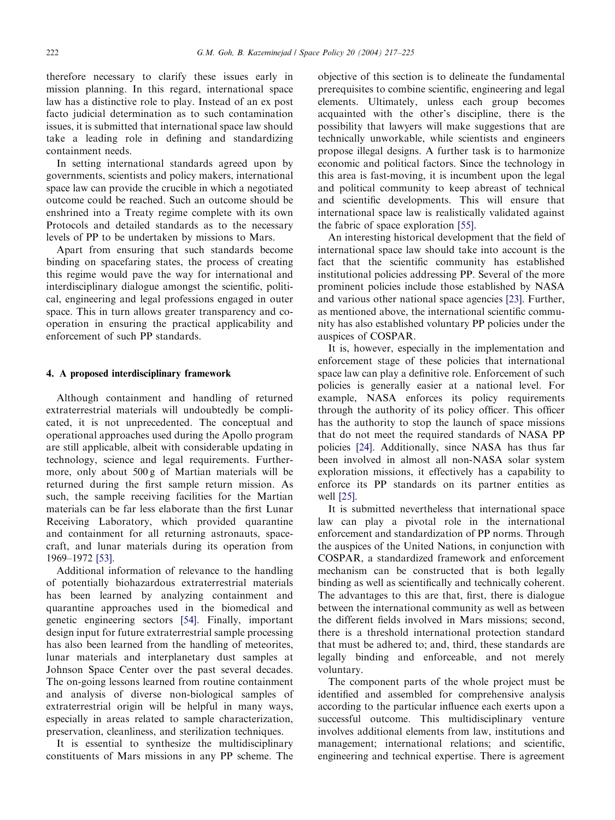therefore necessary to clarify these issues early in mission planning. In this regard, international space lawhas a distinctive role to play. Instead of an ex post facto judicial determination as to such contamination issues, it is submitted that international space lawshould take a leading role in defining and standardizing containment needs.

In setting international standards agreed upon by governments, scientists and policy makers, international space lawcan provide the crucible in which a negotiated outcome could be reached. Such an outcome should be enshrined into a Treaty regime complete with its own Protocols and detailed standards as to the necessary levels of PP to be undertaken by missions to Mars.

Apart from ensuring that such standards become binding on spacefaring states, the process of creating this regime would pave the way for international and interdisciplinary dialogue amongst the scientific, political, engineering and legal professions engaged in outer space. This in turn allows greater transparency and cooperation in ensuring the practical applicability and enforcement of such PP standards.

### 4. A proposed interdisciplinary framework

Although containment and handling of returned extraterrestrial materials will undoubtedly be complicated, it is not unprecedented. The conceptual and operational approaches used during the Apollo program are still applicable, albeit with considerable updating in technology, science and legal requirements. Furthermore, only about 500 g of Martian materials will be returned during the first sample return mission. As such, the sample receiving facilities for the Martian materials can be far less elaborate than the first Lunar Receiving Laboratory, which provided quarantine and containment for all returning astronauts, spacecraft, and lunar materials during its operation from 1969–1972 [\[53\]](#page-8-0).

Additional information of relevance to the handling of potentially biohazardous extraterrestrial materials has been learned by analyzing containment and quarantine approaches used in the biomedical and genetic engineering sectors [\[54\]](#page-8-0). Finally, important design input for future extraterrestrial sample processing has also been learned from the handling of meteorites, lunar materials and interplanetary dust samples at Johnson Space Center over the past several decades. The on-going lessons learned from routine containment and analysis of diverse non-biological samples of extraterrestrial origin will be helpful in many ways, especially in areas related to sample characterization, preservation, cleanliness, and sterilization techniques.

It is essential to synthesize the multidisciplinary constituents of Mars missions in any PP scheme. The

objective of this section is to delineate the fundamental prerequisites to combine scientific, engineering and legal elements. Ultimately, unless each group becomes acquainted with the other's discipline, there is the possibility that lawyers will make suggestions that are technically unworkable, while scientists and engineers propose illegal designs. A further task is to harmonize economic and political factors. Since the technology in this area is fast-moving, it is incumbent upon the legal and political community to keep abreast of technical and scientific developments. This will ensure that international space law is realistically validated against the fabric of space exploration [\[55\].](#page-8-0)

An interesting historical development that the field of international space lawshould take into account is the fact that the scientific community has established institutional policies addressing PP. Several of the more prominent policies include those established by NASA and various other national space agencies [\[23\]](#page-7-0). Further, as mentioned above, the international scientific community has also established voluntary PP policies under the auspices of COSPAR.

It is, however, especially in the implementation and enforcement stage of these policies that international space lawcan play a definitive role. Enforcement of such policies is generally easier at a national level. For example, NASA enforces its policy requirements through the authority of its policy officer. This officer has the authority to stop the launch of space missions that do not meet the required standards of NASA PP policies [\[24\]](#page-7-0). Additionally, since NASA has thus far been involved in almost all non-NASA solar system exploration missions, it effectively has a capability to enforce its PP standards on its partner entities as well [\[25\].](#page-7-0)

It is submitted nevertheless that international space law can play a pivotal role in the international enforcement and standardization of PP norms. Through the auspices of the United Nations, in conjunction with COSPAR, a standardized framework and enforcement mechanism can be constructed that is both legally binding as well as scientifically and technically coherent. The advantages to this are that, first, there is dialogue between the international community as well as between the different fields involved in Mars missions; second, there is a threshold international protection standard that must be adhered to; and, third, these standards are legally binding and enforceable, and not merely voluntary.

The component parts of the whole project must be identified and assembled for comprehensive analysis according to the particular influence each exerts upon a successful outcome. This multidisciplinary venture involves additional elements from law, institutions and management; international relations; and scientific, engineering and technical expertise. There is agreement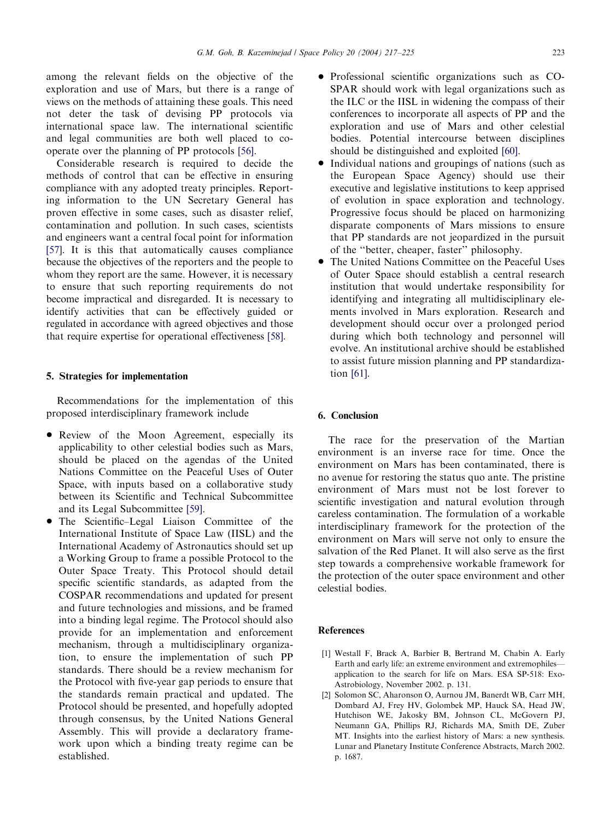<span id="page-6-0"></span>among the relevant fields on the objective of the exploration and use of Mars, but there is a range of views on the methods of attaining these goals. This need not deter the task of devising PP protocols via international space law. The international scientific and legal communities are both well placed to cooperate over the planning of PP protocols [\[56\].](#page-8-0)

Considerable research is required to decide the methods of control that can be effective in ensuring compliance with any adopted treaty principles. Reporting information to the UN Secretary General has proven effective in some cases, such as disaster relief, contamination and pollution. In such cases, scientists and engineers want a central focal point for information [\[57\]](#page-8-0). It is this that automatically causes compliance because the objectives of the reporters and the people to whom they report are the same. However, it is necessary to ensure that such reporting requirements do not become impractical and disregarded. It is necessary to identify activities that can be effectively guided or regulated in accordance with agreed objectives and those that require expertise for operational effectiveness [\[58\]](#page-8-0).

### 5. Strategies for implementation

Recommendations for the implementation of this proposed interdisciplinary framework include

- Review of the Moon Agreement, especially its applicability to other celestial bodies such as Mars, should be placed on the agendas of the United Nations Committee on the Peaceful Uses of Outer Space, with inputs based on a collaborative study between its Scientific and Technical Subcommittee and its Legal Subcommittee [\[59\].](#page-8-0)
- The Scientific–Legal Liaison Committee of the International Institute of Space Law(IISL) and the International Academy of Astronautics should set up a Working Group to frame a possible Protocol to the Outer Space Treaty. This Protocol should detail specific scientific standards, as adapted from the COSPAR recommendations and updated for present and future technologies and missions, and be framed into a binding legal regime. The Protocol should also provide for an implementation and enforcement mechanism, through a multidisciplinary organization, to ensure the implementation of such PP standards. There should be a review mechanism for the Protocol with five-year gap periods to ensure that the standards remain practical and updated. The Protocol should be presented, and hopefully adopted through consensus, by the United Nations General Assembly. This will provide a declaratory framework upon which a binding treaty regime can be established.
- Professional scientific organizations such as CO-SPAR should work with legal organizations such as the ILC or the IISL in widening the compass of their conferences to incorporate all aspects of PP and the exploration and use of Mars and other celestial bodies. Potential intercourse between disciplines should be distinguished and exploited [\[60\]](#page-8-0).
- \* Individual nations and groupings of nations (such as the European Space Agency) should use their executive and legislative institutions to keep apprised of evolution in space exploration and technology. Progressive focus should be placed on harmonizing disparate components of Mars missions to ensure that PP standards are not jeopardized in the pursuit of the ''better, cheaper, faster'' philosophy.
- The United Nations Committee on the Peaceful Uses of Outer Space should establish a central research institution that would undertake responsibility for identifying and integrating all multidisciplinary elements involved in Mars exploration. Research and development should occur over a prolonged period during which both technology and personnel will evolve. An institutional archive should be established to assist future mission planning and PP standardization [\[61\].](#page-8-0)

# 6. Conclusion

The race for the preservation of the Martian environment is an inverse race for time. Once the environment on Mars has been contaminated, there is no avenue for restoring the status quo ante. The pristine environment of Mars must not be lost forever to scientific investigation and natural evolution through careless contamination. The formulation of a workable interdisciplinary framework for the protection of the environment on Mars will serve not only to ensure the salvation of the Red Planet. It will also serve as the first step towards a comprehensive workable framework for the protection of the outer space environment and other celestial bodies.

### References

- [1] Westall F, Brack A, Barbier B, Bertrand M, Chabin A. Early Earth and early life: an extreme environment and extremophiles application to the search for life on Mars. ESA SP-518: Exo-Astrobiology, November 2002. p. 131.
- [2] Solomon SC, Aharonson O, Aurnou JM, Banerdt WB, Carr MH, Dombard AJ, Frey HV, Golombek MP, Hauck SA, Head JW, Hutchison WE, Jakosky BM, Johnson CL, McGovern PJ, Neumann GA, Phillips RJ, Richards MA, Smith DE, Zuber MT. Insights into the earliest history of Mars: a new synthesis. Lunar and Planetary Institute Conference Abstracts, March 2002. p. 1687.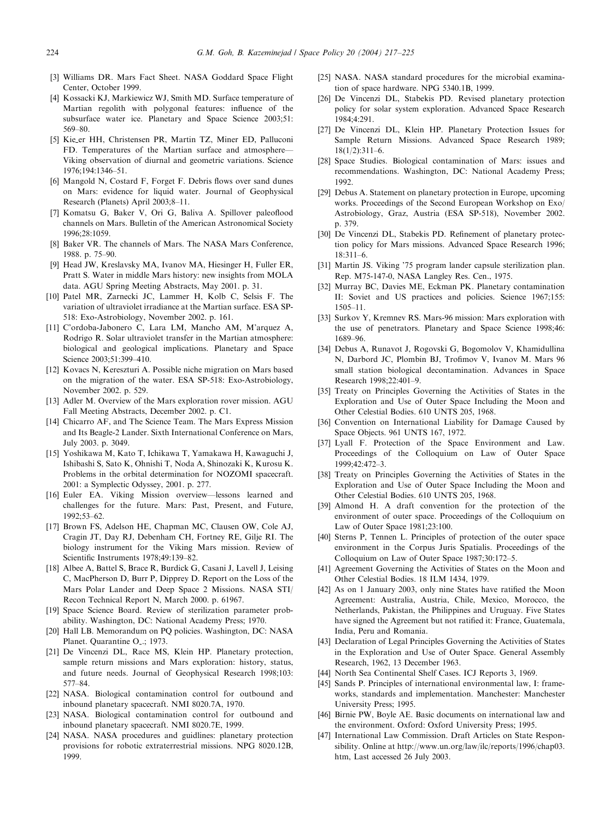- <span id="page-7-0"></span>[3] Williams DR. Mars Fact Sheet. NASA Goddard Space Flight Center, October 1999.
- [4] Kossacki KJ, Markiewicz WJ, Smith MD. Surface temperature of Martian regolith with polygonal features: influence of the subsurface water ice. Planetary and Space Science 2003;51: 569–80.
- [5] Kie er HH, Christensen PR, Martin TZ, Miner ED, Palluconi FD. Temperatures of the Martian surface and atmosphere-Viking observation of diurnal and geometric variations. Science 1976;194:1346–51.
- [6] Mangold N, Costard F, Forget F. Debris flows over sand dunes on Mars: evidence for liquid water. Journal of Geophysical Research (Planets) April 2003;8–11.
- [7] Komatsu G, Baker V, Ori G, Baliva A. Spillover paleoflood channels on Mars. Bulletin of the American Astronomical Society 1996;28:1059.
- [8] Baker VR. The channels of Mars. The NASA Mars Conference, 1988. p. 75–90.
- [9] Head JW, Kreslavsky MA, Ivanov MA, Hiesinger H, Fuller ER, Pratt S. Water in middle Mars history: newinsights from MOLA data. AGU Spring Meeting Abstracts, May 2001. p. 31.
- [10] Patel MR, Zarnecki JC, Lammer H, Kolb C, Selsis F. The variation of ultraviolet irradiance at the Martian surface. ESA SP-518: Exo-Astrobiology, November 2002. p. 161.
- [11] C'ordoba-Jabonero C, Lara LM, Mancho AM, M'arquez A, Rodrigo R. Solar ultraviolet transfer in the Martian atmosphere: biological and geological implications. Planetary and Space Science 2003:51:399-410.
- [12] Kovacs N, Kereszturi A. Possible niche migration on Mars based on the migration of the water. ESA SP-518: Exo-Astrobiology, November 2002. p. 529.
- [13] Adler M. Overview of the Mars exploration rover mission. AGU Fall Meeting Abstracts, December 2002. p. C1.
- [14] Chicarro AF, and The Science Team. The Mars Express Mission and Its Beagle-2 Lander. Sixth International Conference on Mars, July 2003. p. 3049.
- [15] Yoshikawa M, Kato T, Ichikawa T, Yamakawa H, Kawaguchi J, Ishibashi S, Sato K, Ohnishi T, Noda A, Shinozaki K, Kurosu K. Problems in the orbital determination for NOZOMI spacecraft. 2001: a Symplectic Odyssey, 2001. p. 277.
- [16] Euler EA. Viking Mission overview—lessons learned and challenges for the future. Mars: Past, Present, and Future, 1992;53–62.
- [17] Brown FS, Adelson HE, Chapman MC, Clausen OW, Cole AJ, Cragin JT, Day RJ, Debenham CH, Fortney RE, Gilje RI. The biology instrument for the Viking Mars mission. Review of Scientific Instruments 1978;49:139–82.
- [18] Albee A, Battel S, Brace R, Burdick G, Casani J, Lavell J, Leising C, MacPherson D, Burr P, Dipprey D. Report on the Loss of the Mars Polar Lander and Deep Space 2 Missions. NASA STI/ Recon Technical Report N, March 2000. p. 61967.
- [19] Space Science Board. Review of sterilization parameter probability. Washington, DC: National Academy Press; 1970.
- [20] Hall LB. Memorandum on PQ policies. Washington, DC: NASA Planet. Quarantine O...; 1973.
- [21] De Vincenzi DL, Race MS, Klein HP. Planetary protection, sample return missions and Mars exploration: history, status, and future needs. Journal of Geophysical Research 1998;103: 577–84.
- [22] NASA. Biological contamination control for outbound and inbound planetary spacecraft. NMI 8020.7A, 1970.
- [23] NASA. Biological contamination control for outbound and inbound planetary spacecraft. NMI 8020.7E, 1999.
- [24] NASA. NASA procedures and guidlines: planetary protection provisions for robotic extraterrestrial missions. NPG 8020.12B, 1999.
- [25] NASA. NASA standard procedures for the microbial examination of space hardware. NPG 5340.1B, 1999.
- [26] De Vincenzi DL, Stabekis PD. Revised planetary protection policy for solar system exploration. Advanced Space Research 1984;4:291.
- [27] De Vincenzi DL, Klein HP. Planetary Protection Issues for Sample Return Missions. Advanced Space Research 1989; 18(1/2):311–6.
- [28] Space Studies. Biological contamination of Mars: issues and recommendations. Washington, DC: National Academy Press; 1992.
- [29] Debus A. Statement on planetary protection in Europe, upcoming works. Proceedings of the Second European Workshop on Exo/ Astrobiology, Graz, Austria (ESA SP-518), November 2002. p. 379.
- [30] De Vincenzi DL, Stabekis PD. Refinement of planetary protection policy for Mars missions. Advanced Space Research 1996;  $18.311-6$
- [31] Martin JS. Viking '75 program lander capsule sterilization plan. Rep. M75-147-0, NASA Langley Res. Cen., 1975.
- [32] Murray BC, Davies ME, Eckman PK. Planetary contamination II: Soviet and US practices and policies. Science 1967;155: 1505–11.
- [33] Surkov Y, Kremnev RS. Mars-96 mission: Mars exploration with the use of penetrators. Planetary and Space Science 1998;46: 1689–96.
- [34] Debus A, Runavot J, Rogovski G, Bogomolov V, Khamidullina N, Darbord JC, Plombin BJ, Trofimov V, Ivanov M. Mars 96 small station biological decontamination. Advances in Space Research 1998;22:401–9.
- [35] Treaty on Principles Governing the Activities of States in the Exploration and Use of Outer Space Including the Moon and Other Celestial Bodies. 610 UNTS 205, 1968.
- [36] Convention on International Liability for Damage Caused by Space Objects. 961 UNTS 167, 1972.
- [37] Lyall F. Protection of the Space Environment and Law. Proceedings of the Colloquium on Lawof Outer Space 1999;42:472–3.
- [38] Treaty on Principles Governing the Activities of States in the Exploration and Use of Outer Space Including the Moon and Other Celestial Bodies. 610 UNTS 205, 1968.
- [39] Almond H. A draft convention for the protection of the environment of outer space. Proceedings of the Colloquium on Lawof Outer Space 1981;23:100.
- [40] Sterns P, Tennen L. Principles of protection of the outer space environment in the Corpus Juris Spatialis. Proceedings of the Colloquium on Lawof Outer Space 1987;30:172–5.
- [41] Agreement Governing the Activities of States on the Moon and Other Celestial Bodies. 18 ILM 1434, 1979.
- [42] As on 1 January 2003, only nine States have ratified the Moon Agreement: Australia, Austria, Chile, Mexico, Morocco, the Netherlands, Pakistan, the Philippines and Uruguay. Five States have signed the Agreement but not ratified it: France, Guatemala, India, Peru and Romania.
- [43] Declaration of Legal Principles Governing the Activities of States in the Exploration and Use of Outer Space. General Assembly Research, 1962, 13 December 1963.
- [44] North Sea Continental Shelf Cases. ICJ Reports 3, 1969.
- [45] Sands P. Principles of international environmental law. I: frameworks, standards and implementation. Manchester: Manchester University Press; 1995.
- [46] Birnie PW, Boyle AE. Basic documents on international lawand the environment. Oxford: Oxford University Press; 1995.
- [47] International Law Commission. Draft Articles on State Responsibility. Online at http://www.un.org/law/ilc/reports/1996/chap03. htm, Last accessed 26 July 2003.